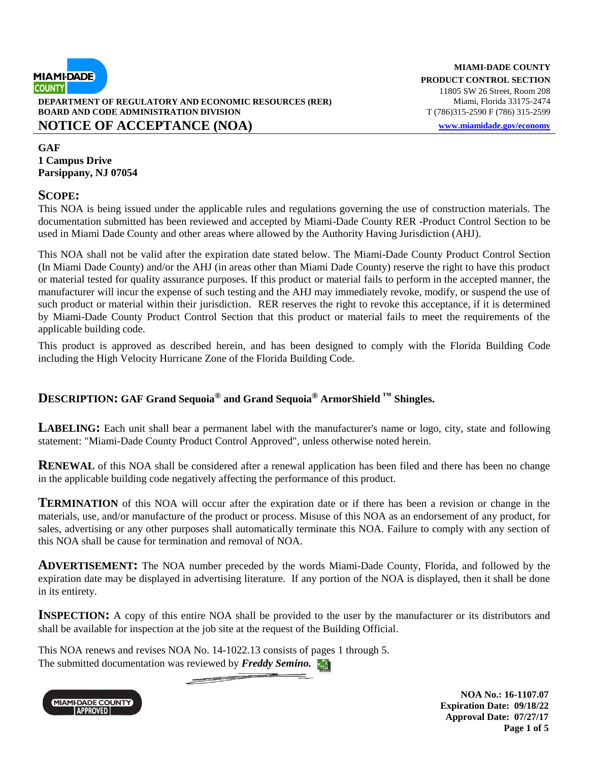

**DEPARTMENT OF REGULATORY AND ECONOMIC RESOURCES (RER)** Miami, Florida 33175-2474 **BOARD AND CODE ADMINISTRATION DIVISION** T (786)315-2590 F (786) 315-2599

### **NOTICE OF ACCEPTANCE (NOA) [www.miamidade.gov/economy](http://www.miamidade.gov/economy)**

**MIAMI-DADE COUNTY PRODUCT CONTROL SECTION**  11805 SW 26 Street, Room 208

**GAF 1 Campus Drive Parsippany, NJ 07054**

#### **SCOPE:**

This NOA is being issued under the applicable rules and regulations governing the use of construction materials. The documentation submitted has been reviewed and accepted by Miami-Dade County RER -Product Control Section to be used in Miami Dade County and other areas where allowed by the Authority Having Jurisdiction (AHJ).

This NOA shall not be valid after the expiration date stated below. The Miami-Dade County Product Control Section (In Miami Dade County) and/or the AHJ (in areas other than Miami Dade County) reserve the right to have this product or material tested for quality assurance purposes. If this product or material fails to perform in the accepted manner, the manufacturer will incur the expense of such testing and the AHJ may immediately revoke, modify, or suspend the use of such product or material within their jurisdiction. RER reserves the right to revoke this acceptance, if it is determined by Miami-Dade County Product Control Section that this product or material fails to meet the requirements of the applicable building code.

This product is approved as described herein, and has been designed to comply with the Florida Building Code including the High Velocity Hurricane Zone of the Florida Building Code.

## **DESCRIPTION: GAF Grand Sequoia® and Grand Sequoia® ArmorShield ™ Shingles.**

**LABELING:** Each unit shall bear a permanent label with the manufacturer's name or logo, city, state and following statement: "Miami-Dade County Product Control Approved", unless otherwise noted herein.

**RENEWAL** of this NOA shall be considered after a renewal application has been filed and there has been no change in the applicable building code negatively affecting the performance of this product.

**TERMINATION** of this NOA will occur after the expiration date or if there has been a revision or change in the materials, use, and/or manufacture of the product or process. Misuse of this NOA as an endorsement of any product, for sales, advertising or any other purposes shall automatically terminate this NOA. Failure to comply with any section of this NOA shall be cause for termination and removal of NOA.

**ADVERTISEMENT:** The NOA number preceded by the words Miami-Dade County, Florida, and followed by the expiration date may be displayed in advertising literature. If any portion of the NOA is displayed, then it shall be done in its entirety.

**INSPECTION:** A copy of this entire NOA shall be provided to the user by the manufacturer or its distributors and shall be available for inspection at the job site at the request of the Building Official.

This NOA renews and revises NOA No. 14-1022.13 consists of pages 1 through 5. The submitted documentation was reviewed by **Freddy Semino.** 



**NOA No.: 16-1107.07 Expiration Date: 09/18/22 Approval Date: 07/27/17 Page 1 of 5**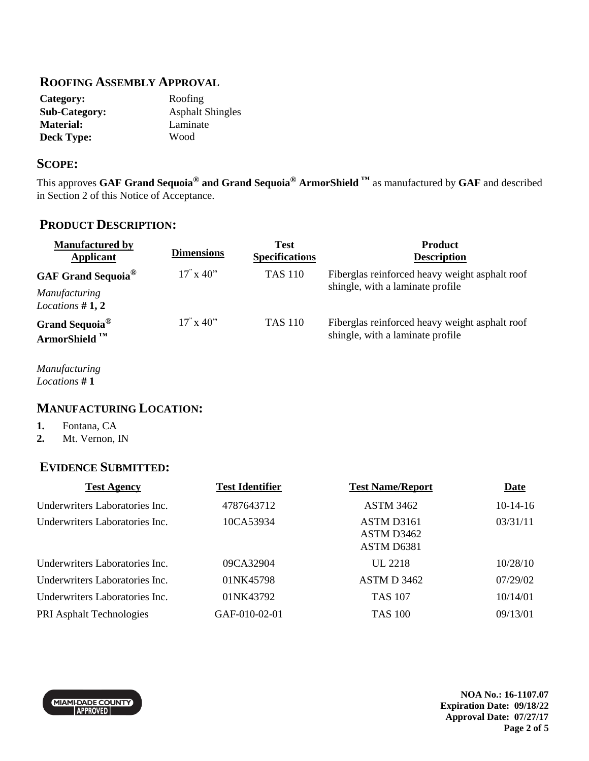#### **ROOFING ASSEMBLY APPROVAL**

| Category:            | Roofing                 |
|----------------------|-------------------------|
| <b>Sub-Category:</b> | <b>Asphalt Shingles</b> |
| <b>Material:</b>     | Laminate                |
| <b>Deck Type:</b>    | Wood                    |

#### **SCOPE:**

This approves **GAF Grand Sequoia® and Grand Sequoia® ArmorShield ™** as manufactured by **GAF** and described in Section 2 of this Notice of Acceptance.

### **PRODUCT DESCRIPTION:**

| <b>Manufactured by</b><br>Applicant                    | <b>Dimensions</b>                   | <b>Test</b><br><b>Specifications</b> | <b>Product</b><br><b>Description</b>                                               |
|--------------------------------------------------------|-------------------------------------|--------------------------------------|------------------------------------------------------------------------------------|
| <b>GAF Grand Sequoia</b> <sup>®</sup>                  | $17^\circ \times 40^{\prime\prime}$ | <b>TAS 110</b>                       | Fiberglas reinforced heavy weight asphalt roof                                     |
| <b>Manufacturing</b><br>Locations $#1, 2$              |                                     |                                      | shingle, with a laminate profile                                                   |
| Grand Sequoia <sup>®</sup><br>ArmorShield <sup>™</sup> | $17^{\circ}$ x 40 <sup>2</sup>      | <b>TAS 110</b>                       | Fiberglas reinforced heavy weight asphalt roof<br>shingle, with a laminate profile |

*Manufacturing Locations* **# 1**

## **MANUFACTURING LOCATION:**

- **1.** Fontana, CA
- **2.** Mt. Vernon, IN

### **EVIDENCE SUBMITTED:**

| <b>Test Agency</b>             | <b>Test Identifier</b> | <b>Test Name/Report</b> | <b>Date</b> |
|--------------------------------|------------------------|-------------------------|-------------|
| Underwriters Laboratories Inc. | 4787643712             | <b>ASTM 3462</b>        | $10-14-16$  |
| Underwriters Laboratories Inc. | 10CA53934              | ASTM D3161              | 03/31/11    |
|                                |                        | ASTM D3462              |             |
|                                |                        | ASTM D6381              |             |
| Underwriters Laboratories Inc. | 09CA32904              | UL 2218                 | 10/28/10    |
| Underwriters Laboratories Inc. | 01NK45798              | ASTM D 3462             | 07/29/02    |
| Underwriters Laboratories Inc. | 01NK43792              | <b>TAS 107</b>          | 10/14/01    |
| PRI Asphalt Technologies       | GAF-010-02-01          | <b>TAS 100</b>          | 09/13/01    |

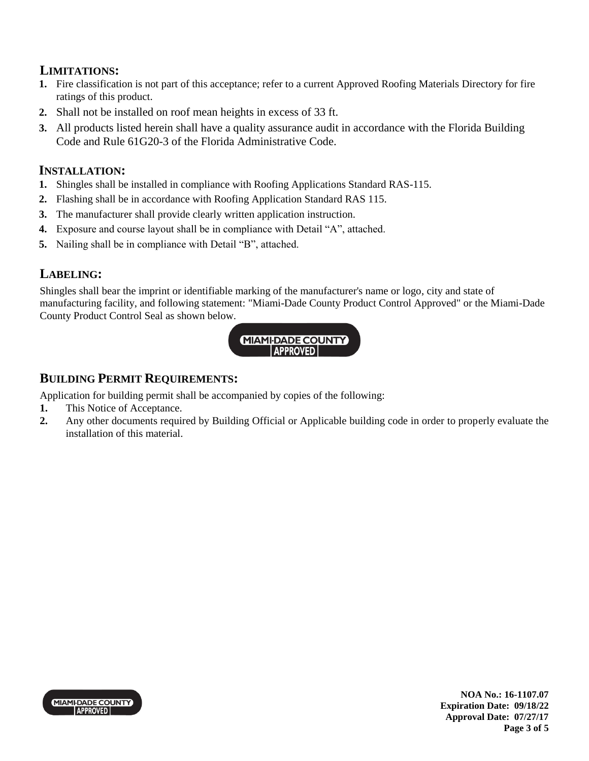# **LIMITATIONS:**

- **1.** Fire classification is not part of this acceptance; refer to a current Approved Roofing Materials Directory for fire ratings of this product.
- **2.** Shall not be installed on roof mean heights in excess of 33 ft.
- **3.** All products listed herein shall have a quality assurance audit in accordance with the Florida Building Code and Rule 61G20-3 of the Florida Administrative Code.

## **INSTALLATION:**

- **1.** Shingles shall be installed in compliance with Roofing Applications Standard RAS-115.
- **2.** Flashing shall be in accordance with Roofing Application Standard RAS 115.
- **3.** The manufacturer shall provide clearly written application instruction.
- **4.** Exposure and course layout shall be in compliance with Detail "A", attached.
- **5.** Nailing shall be in compliance with Detail "B", attached.

# **LABELING:**

Shingles shall bear the imprint or identifiable marking of the manufacturer's name or logo, city and state of manufacturing facility, and following statement: "Miami-Dade County Product Control Approved" or the Miami-Dade County Product Control Seal as shown below.



## **BUILDING PERMIT REQUIREMENTS:**

Application for building permit shall be accompanied by copies of the following:

- **1.** This Notice of Acceptance.
- **2.** Any other documents required by Building Official or Applicable building code in order to properly evaluate the installation of this material.

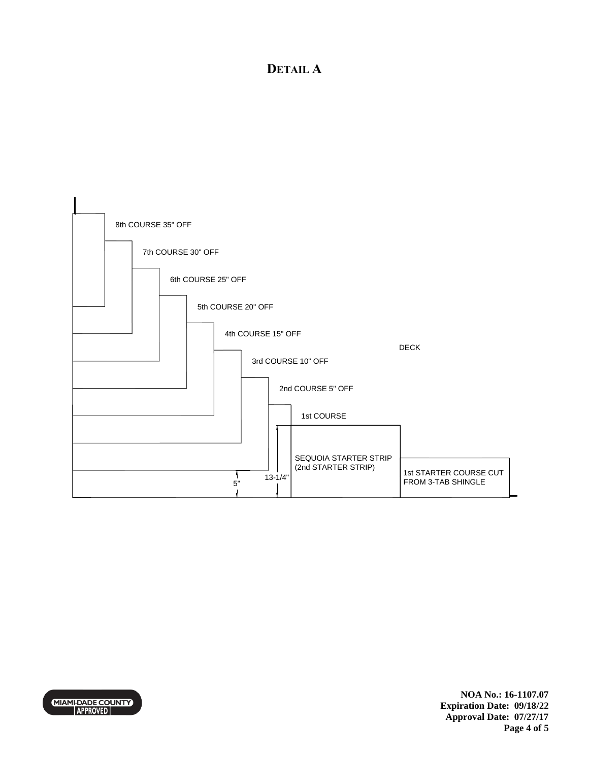# **DETAIL A**



MIAMI-DADE COUNTY

**NOA No.: 16-1107.07 Expiration Date: 09/18/22 Approval Date: 07/27/17 Page 4 of 5**